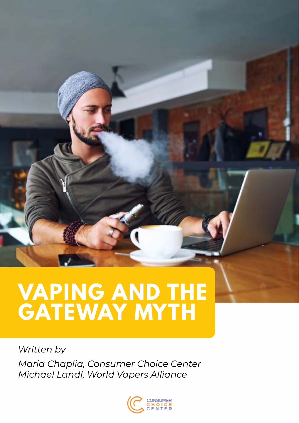# **VAPING AND THE GATEWAY MYTH**

*Written by Maria Chaplia, Consumer Choice Center Michael Landl, World Vapers Alliance*

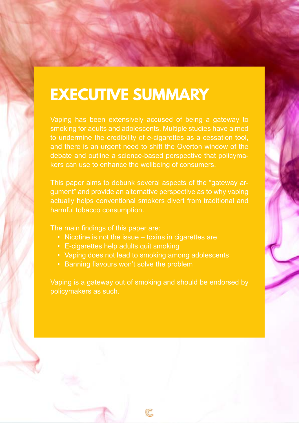# **EXECUTIVE SUMMARY**

Vaping has been extensively accused of being a gateway to smoking for adults and adolescents. Multiple studies have aimed to undermine the credibility of e-cigarettes as a cessation tool, and there is an urgent need to shift the Overton window of the debate and outline a science-based perspective that policymakers can use to enhance the wellbeing of consumers.

This paper aims to debunk several aspects of the "gateway argument" and provide an alternative perspective as to why vaping actually helps conventional smokers divert from traditional and harmful tobacco consumption.

The main findings of this paper are:

- Nicotine is not the issue toxins in cigarettes are
- E-cigarettes help adults quit smoking
- Vaping does not lead to smoking among adolescents
- Banning flavours won't solve the problem

Vaping is a gateway out of smoking and should be endorsed by policymakers as such.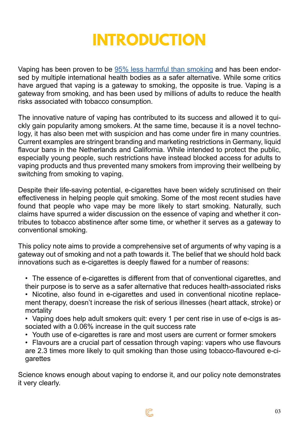## **INTRODUCTION**

Vaping has been proven to be  $95\%$  less harmful than smoking and has been endorsed by multiple international health bodies as a safer alternative. While some critics have argued that vaping is a gateway to smoking, the opposite is true. Vaping is a gateway from smoking, and has been used by millions of adults to reduce the health risks associated with tobacco consumption.

The innovative nature of vaping has contributed to its success and allowed it to quickly gain popularity among smokers. At the same time, because it is a novel technology, it has also been met with suspicion and has come under fire in many countries. Current examples are stringent branding and marketing restrictions in Germany, liquid flavour bans in the Netherlands and California. While intended to protect the public, especially young people, such restrictions have instead blocked access for adults to vaping products and thus prevented many smokers from improving their wellbeing by switching from smoking to vaping.

Despite their life-saving potential, e-cigarettes have been widely scrutinised on their effectiveness in helping people quit smoking. Some of the most recent studies have found that people who vape may be more likely to start smoking. Naturally, such claims have spurred a wider discussion on the essence of vaping and whether it contributes to tobacco abstinence after some time, or whether it serves as a gateway to conventional smoking.

This policy note aims to provide a comprehensive set of arguments of why vaping is a gateway out of smoking and not a path towards it. The belief that we should hold back innovations such as e-cigarettes is deeply flawed for a number of reasons:

• The essence of e-cigarettes is different from that of conventional cigarettes, and their purpose is to serve as a safer alternative that reduces health-associated risks

• Nicotine, also found in e-cigarettes and used in conventional nicotine replacement therapy, doesn't increase the risk of serious illnesses (heart attack, stroke) or mortality

• Vaping does help adult smokers quit: every 1 per cent rise in use of e-cigs is associated with a 0.06% increase in the quit success rate

• Youth use of e-cigarettes is rare and most users are current or former smokers

• Flavours are a crucial part of cessation through vaping: vapers who use flavours are 2.3 times more likely to quit smoking than those using tobacco-flavoured e-cigarettes

Science knows enough about vaping to endorse it, and our policy note demonstrates it very clearly.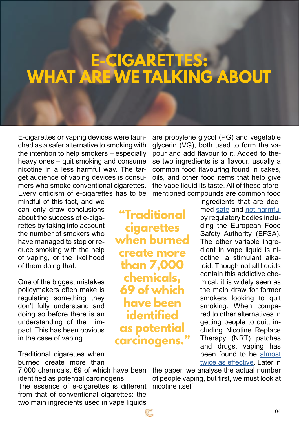## **E-CIGARETTES: WHAT ARE WE TALKING ABOUT**

E-cigarettes or vaping devices were launched as a safer alternative to smoking with the intention to help smokers – especially heavy ones – quit smoking and consume nicotine in a less harmful way. The target audience of vaping devices is consumers who smoke conventional cigarettes. Every criticism of e-cigarettes has to be

mindful of this fact, and we can only draw conclusions about the success of e-cigarettes by taking into account the number of smokers who have managed to stop or reduce smoking with the help of vaping, or the likelihood of them doing that.

One of the biggest mistakes policymakers often make is regulating something they don't fully understand and doing so before there is an understanding of the impact. This has been obvious in the case of vaping.

Traditional cigarettes when burned create more than

7,000 chemicals, 69 of which have been identified as potential carcinogens. The essence of e-cigarettes is different from that of conventional cigarettes: the two main ingredients used in vape liquids

are propylene glycol (PG) and vegetable glycerin (VG), both used to form the vapour and add flavour to it. Added to these two ingredients is a flavour, usually a common food flavouring found in cakes, oils, and other food items that help give the vape liquid its taste. All of these aforementioned compounds are common food

**"Traditional cigarettes when burned create more than 7,000 chemicals, 69 of which have been identified as potential carcinogens."**

ingredients that are deemed [safe](https://www.efsa.europa.eu/en/efsajournal/pub/5235) and [not harmful](https://efsa.onlinelibrary.wiley.com/doi/full/10.2903/j.efsa.2017.4720) by regulatory bodies including the European Food Safety Authority (EFSA). The other variable ingredient in vape liquid is nicotine, a stimulant alkaloid. Though not all liquids contain this addictive chemical, it is widely seen as the main draw for former smokers looking to quit smoking. When compared to other alternatives in getting people to quit, including Nicotine Replace Therapy (NRT) patches and drugs, vaping has been found to be [almost](https://www.qmul.ac.uk/media/news/2019/smd/e-cigarettes-more-effective-than-nicotine-replacement-therapies-finds-major-uk-clinical-trial.html) [twice as effective.](https://www.qmul.ac.uk/media/news/2019/smd/e-cigarettes-more-effective-than-nicotine-replacement-therapies-finds-major-uk-clinical-trial.html) Later in

the paper, we analyse the actual number of people vaping, but first, we must look at nicotine itself.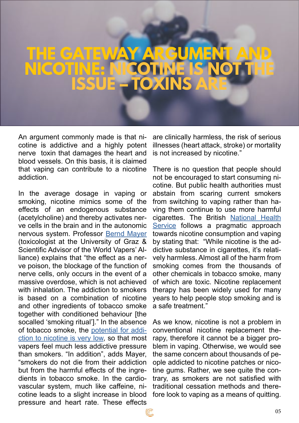## **THE GATEWAY ARGUMENT AND NICOTINE: NICOTINE IS NOT THE ISSUE – TOXINS ARE**

An argument commonly made is that nicotine is addictive and a highly potent nerve toxin that damages the heart and blood vessels. On this basis, it is claimed that vaping can contribute to a nicotine addiction.

In the average dosage in vaping or smoking, nicotine mimics some of the effects of an endogenous substance (acetylcholine) and thereby activates nerve cells in the brain and in the autonomic nervous system. Professor [Bernd Mayer](https://ig-ed.org/2019/01/prof-dr-mayer-sieben-haeufig-vorgebrachte-argumente-gegen-das-dampfen/) (toxicologist at the University of Graz & Scientific Advisor of the World Vapers' Alliance) explains that "the effect as a nerve poison, the blockage of the function of nerve cells, only occurs in the event of a massive overdose, which is not achieved with inhalation. The addiction to smokers is based on a combination of nicotine and other ingredients of tobacco smoke together with conditioned behaviour [the socalled 'smoking ritual']." In the absence of tobacco smoke, the [potential for addi](https://pubmed.ncbi.nlm.nih.gov/25561385/)[ction to nicotine is very low,](https://pubmed.ncbi.nlm.nih.gov/25561385/) so that most vapers feel much less addictive pressure than smokers. "In addition", adds Mayer, "smokers do not die from their addiction but from the harmful effects of the ingredients in tobacco smoke. In the cardiovascular system, much like caffeine, nicotine leads to a slight increase in blood pressure and heart rate. These effects

are clinically harmless, the risk of serious illnesses (heart attack, stroke) or mortality is not increased by nicotine."

There is no question that people should not be encouraged to start consuming nicotine. But public health authorities must abstain from scaring current smokers from switching to vaping rather than having them continue to use more harmful cigarettes. The British [National Health](https://www.nhs.uk/live-well/quit-smoking/using-e-cigarettes-to-stop-smoking/)  [Service](https://www.nhs.uk/live-well/quit-smoking/using-e-cigarettes-to-stop-smoking/) follows a pragmatic approach towards nicotine consumption and vaping by stating that: "While nicotine is the addictive substance in cigarettes, it's relatively harmless. Almost all of the harm from smoking comes from the thousands of other chemicals in tobacco smoke, many of which are toxic. Nicotine replacement therapy has been widely used for many years to help people stop smoking and is a safe treatment."

As we know, nicotine is not a problem in conventional nicotine replacement therapy, therefore it cannot be a bigger problem in vaping. Otherwise, we would see the same concern about thousands of people addicted to nicotine patches or nicotine gums. Rather, we see quite the contrary, as smokers are not satisfied with traditional cessation methods and therefore look to vaping as a means of quitting.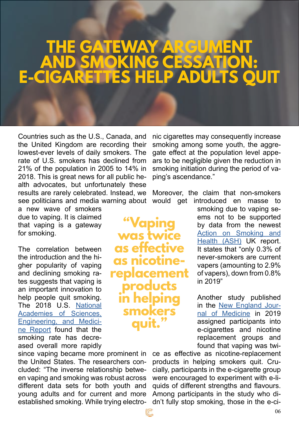## **GATEWAY ARGU AND SMOKING CESSATION: E-CIGARETTES HELP ADULTS QUIT**

**aping** 

**was twice** 

**as effective** 

**as nicotine-**

**replacement** 

**products** 

**in helping** 

**smokers** 

**quit."**

Countries such as the U.S., Canada, and the United Kingdom are recording their lowest-ever levels of daily smokers. The rate of U.S. smokers has declined from 21% of the population in 2005 to 14% in 2018. This is great news for all public health advocates, but unfortunately these results are rarely celebrated. Instead, we see politicians and media warning about

a new wave of smokers due to vaping. It is claimed that vaping is a gateway for smoking.

The correlation between the introduction and the higher popularity of vaping and declining smoking rates suggests that vaping is an important innovation to help people quit smoking. The 2018 U.S. [National](https://tobaccocontrol.bmj.com/content/28/6/629) [Academies of Sciences,](https://tobaccocontrol.bmj.com/content/28/6/629) [Engineering, and Medici](https://tobaccocontrol.bmj.com/content/28/6/629)[ne Report](https://tobaccocontrol.bmj.com/content/28/6/629) found that the smoking rate has decreased overall more rapidly

since vaping became more prominent in the United States. The researchers concluded: "The inverse relationship between vaping and smoking was robust across different data sets for both youth and young adults and for current and more established smoking. While trying electro-

nic cigarettes may consequently increase smoking among some youth, the aggregate effect at the population level appears to be negligible given the reduction in smoking initiation during the period of vaping's ascendance."

Moreover, the claim that non-smokers would get introduced en masse to

> smoking due to vaping seems not to be supported by data from the newest [Action on Smoking and](https://ash.org.uk/information-and-resources/fact-sheets/statistical/use-of-e-cigarettes-among-adults-in-great-britain-2020/) [Health \(ASH\)](https://ash.org.uk/information-and-resources/fact-sheets/statistical/use-of-e-cigarettes-among-adults-in-great-britain-2020/) UK report. It states that "only 0.3% of never-smokers are current vapers (amounting to 2.9% of vapers), down from 0.8% in 2019"

Another study published in the [New England Jour](https://doi.org/10.1056/NEJMoa1808779)[nal of Medicine](https://doi.org/10.1056/NEJMoa1808779) in 2019 assigned participants into e-cigarettes and nicotine replacement groups and found that vaping was twi-

ce as effective as nicotine-replacement products in helping smokers quit. Crucially, participants in the e-cigarette group were encouraged to experiment with e-liquids of different strengths and flavours. Among participants in the study who didn't fully stop smoking, those in the e-ci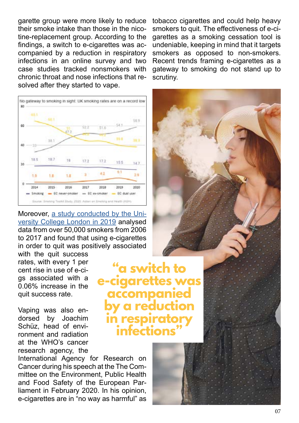garette group were more likely to reduce their smoke intake than those in the nicotine-replacement group. According to the findings, a switch to e-cigarettes was accompanied by a reduction in respiratory infections in an online survey and two case studies tracked nonsmokers with chronic throat and nose infections that resolved after they started to vape.



Moreover, [a study conducted by the Uni](https://onlinelibrary.wiley.com/doi/abs/10.1111/add.14851?af=R)[versity College London in 2019](https://onlinelibrary.wiley.com/doi/abs/10.1111/add.14851?af=R) analysed data from over 50,000 smokers from 2006 to 2017 and found that using e-cigarettes in order to quit was positively associated

with the quit success rates, with every 1 per cent rise in use of e-cigs associated with a 0.06% increase in the quit success rate.

Vaping was also endorsed by Joachim Schüz, head of environment and radiation at the WHO's cancer research agency, the

International Agency for Research on Cancer during his speech at the The Committee on the Environment, Public Health and Food Safety of the European Parliament in February 2020. In his opinion, e-cigarettes are in "no way as harmful" as tobacco cigarettes and could help heavy smokers to quit. The effectiveness of e-cigarettes as a smoking cessation tool is undeniable, keeping in mind that it targets smokers as opposed to non-smokers. Recent trends framing e-cigarettes as a gateway to smoking do not stand up to scrutiny.





**"a switch to** 

**accompanied** 

**by a reduction** 

**e-cigarettes was** 

**in respirat** 

 $interiori$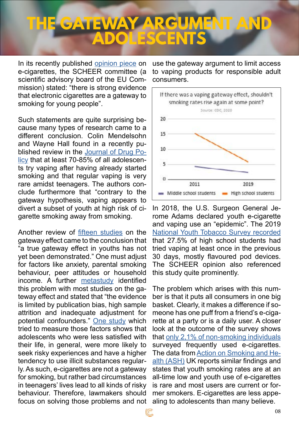# **HE GATEWAY ARG ADDESCE**

In its recently published [opinion piece](https://ec.europa.eu/health/sites/health/files/scientific_committees/scheer/docs/scheer_o_017.pdf) on e-cigarettes, the SCHEER committee (a scientific advisory board of the EU Commission) stated: "there is strong evidence that electronic cigarettes are a gateway to smoking for young people".

Such statements are quite surprising because many types of research came to a different conclusion. Colin Mendelsohn and Wayne Hall found in a recently published review in the [Journal of Drug Po](https://athra.org.au/wp-content/uploads/2020/03/Mendelsohn-CP-Hall-W.-Does-the-gateway-theory-justify-a-ban-on-nicotine-vaping-in-Australia.-International-Journal-of-Drug-Policy-2020.pdf)[licy](https://athra.org.au/wp-content/uploads/2020/03/Mendelsohn-CP-Hall-W.-Does-the-gateway-theory-justify-a-ban-on-nicotine-vaping-in-Australia.-International-Journal-of-Drug-Policy-2020.pdf) that at least 70-85% of all adolescents try vaping after having already started smoking and that regular vaping is very rare amidst teenagers. The authors conclude furthermore that "contrary to the gateway hypothesis, vaping appears to divert a subset of youth at high risk of cigarette smoking away from smoking.

Another review of [fifteen studies](https://www.ncbi.nlm.nih.gov/pmc/articles/PMC6652100/) on the gateway effect came to the conclusion that "a true gateway effect in youths has not yet been demonstrated." One must adjust for factors like anxiety, parental smoking behaviour, peer attitudes or household income. A further [metastudy](https://onlinelibrary.wiley.com/doi/abs/10.1111/add.15246) identified this problem with most studies on the gateway effect and stated that "the evidence is limited by publication bias, high sample attrition and inadequate adjustment for potential confounders." [One study](https://www.tandfonline.com/doi/full/10.1080/10826084.2019.1701035) which tried to measure those factors shows that adolescents who were less satisfied with their life, in general, were more likely to seek risky experiences and have a higher tendency to use illicit substances regularly. As such, e-cigarettes are not a gateway for smoking, but rather bad circumstances in teenagers' lives lead to all kinds of risky behaviour. Therefore, lawmakers should focus on solving those problems and not

use the gateway argument to limit access to vaping products for responsible adult consumers.





The problem which arises with this number is that it puts all consumers in one big basket. Clearly, it makes a difference if someone has one puff from a friend's e-cigarette at a party or is a daily user. A closer look at the outcome of the survey shows that [only 2,1% of non-smoking individuals](https://www.qeios.com/read/745076.5) surveyed frequently used e-cigarettes. The data from [Action on Smoking and He](https://ash.org.uk/media-and-news/press-releases-media-and-news/new-ash-data-reveals-that-youth-use-of-e-cigarettes-in-great-britain-is-very-low/)[alth \(ASH\)](https://ash.org.uk/media-and-news/press-releases-media-and-news/new-ash-data-reveals-that-youth-use-of-e-cigarettes-in-great-britain-is-very-low/) UK reports similar findings and states that youth smoking rates are at an all-time low and youth use of e-cigarettes is rare and most users are current or former smokers. E-cigarettes are less appealing to adolescents than many believe.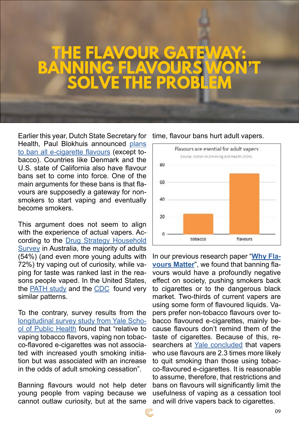## **THE FLAVOUR GATEWAY: BANNING FLAVOURS WON'T SOLVE THE PROBLEM**

Earlier this year, Dutch State Secretary for Health, Paul Blokhuis announced [plans](https://uk.reuters.com/article/uk-netherlands-smoking-vaping/dutch-to-ban-flavoured-e-cigarette-sales-from-next-year-idUKKBN23U17F)  [to ban all e-cigarette flavours](https://uk.reuters.com/article/uk-netherlands-smoking-vaping/dutch-to-ban-flavoured-e-cigarette-sales-from-next-year-idUKKBN23U17F) (except tobacco). Countries like Denmark and the U.S. state of California also have flavour bans set to come into force. One of the main arguments for these bans is that flavours are supposedly a gateway for nonsmokers to start vaping and eventually become smokers.

This argument does not seem to align with the experience of actual vapers. According to the [Drug Strategy Household](https://www.aihw.gov.au/reports/illicit-use-of-drugs/national-drug-strategy-household-survey-2019/contents/table-of-contents)  [Survey](https://www.aihw.gov.au/reports/illicit-use-of-drugs/national-drug-strategy-household-survey-2019/contents/table-of-contents) in Australia, the majority of adults (54%) (and even more young adults with 72%) try vaping out of curiosity, while vaping for taste was ranked last in the reasons people vaped. In the United States, the [PATH study](https://www.ncbi.nlm.nih.gov/pmc/articles/PMC6594857/) and the [CDC](https://www.cdc.gov/mmwr/volumes/68/ss/ss6812a1.htm#T6_down) found very similar patterns.

To the contrary, survey results from the [longitudinal survey study from Yale Scho](https://www.ncbi.nlm.nih.gov/pmc/articles/PMC7275248/)[ol of Public Health](https://www.ncbi.nlm.nih.gov/pmc/articles/PMC7275248/) found that "relative to vaping tobacco flavors, vaping non tobacco-flavored e-cigarettes was not associated with increased youth smoking initiation but was associated with an increase in the odds of adult smoking cessation".

Banning flavours would not help deter young people from vaping because we cannot outlaw curiosity, but at the same

Flavours are esential for adult vapers Source: Action on Smoking and Health (ASH). 80 GO 40  $20$ tobacco flavours

time, flavour bans hurt adult vapers.

In our previous research paper "**[Why Fla](https://consumerchoicecenter.org/why-vape-flavors-matter/)[vours Matter](https://consumerchoicecenter.org/why-vape-flavors-matter/)**", we found that banning flavours would have a profoundly negative effect on society, pushing smokers back to cigarettes or to the dangerous black market. Two-thirds of current vapers are using some form of flavoured liquids. Vapers prefer non-tobacco flavours over tobacco flavoured e-cigarettes, mainly because flavours don't remind them of the taste of cigarettes. Because of this, researchers at [Yale concluded](https://pubmed.ncbi.nlm.nih.gov/32501490/) that vapers who use flavours are 2.3 times more likely to quit smoking than those using tobacco-flavoured e-cigarettes. It is reasonable to assume, therefore, that restrictions and bans on flavours will significantly limit the usefulness of vaping as a cessation tool and will drive vapers back to cigarettes.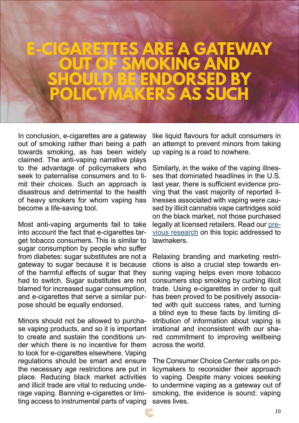## **E-CIGARETTES ARE A GATEWAY OUT OF SMOKING AND SHOULD BE ENDORSED BY MAKERS AS S**

In conclusion, e-cigarettes are a gateway out of smoking rather than being a path towards smoking, as has been widely claimed. The anti-vaping narrative plays to the advantage of policymakers who seek to paternalise consumers and to limit their choices. Such an approach is disastrous and detrimental to the health of heavy smokers for whom vaping has become a life-saving tool.

Most anti-vaping arguments fail to take into account the fact that e-cigarettes target tobacco consumers. This is similar to sugar consumption by people who suffer from diabetes: sugar substitutes are not a gateway to sugar because it is because of the harmful effects of sugar that they had to switch. Sugar substitutes are not blamed for increased sugar consumption, and e-cigarettes that serve a similar purpose should be equally endorsed.

Minors should not be allowed to purchase vaping products, and so it is important to create and sustain the conditions under which there is no incentive for them to look for e-cigarettes elsewhere. Vaping regulations should be smart and ensure the necessary age restrictions are put in place. Reducing black market activities and illicit trade are vital to reducing underage vaping. Banning e-cigarettes or limiting access to instrumental parts of vaping

like liquid flavours for adult consumers in an attempt to prevent minors from taking up vaping is a road to nowhere.

Similarly, in the wake of the vaping illnesses that dominated headlines in the U.S. last year, there is sufficient evidence proving that the vast majority of reported illnesses associated with vaping were caused by illicit cannabis vape cartridges sold on the black market, not those purchased legally at licensed retailers. Read our [pre](https://consumerchoicecenter.org/myths-and-facts-on-vaping/)[vious research](https://consumerchoicecenter.org/myths-and-facts-on-vaping/) on this topic addressed to lawmakers.

Relaxing branding and marketing restrictions is also a crucial step towards ensuring vaping helps even more tobacco consumers stop smoking by curbing illicit trade. Using e-cigarettes in order to quit has been proved to be positively associated with quit success rates, and turning a blind eye to these facts by limiting distribution of information about vaping is irrational and inconsistent with our shared commitment to improving wellbeing across the world.

The Consumer Choice Center calls on policymakers to reconsider their approach to vaping. Despite many voices seeking to undermine vaping as a gateway out of smoking, the evidence is sound: vaping saves lives.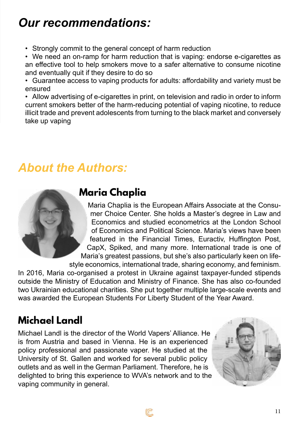#### *Our recommendations:*

• Strongly commit to the general concept of harm reduction

• We need an on-ramp for harm reduction that is vaping: endorse e-cigarettes as an effective tool to help smokers move to a safer alternative to consume nicotine and eventually quit if they desire to do so

• Guarantee access to vaping products for adults: affordability and variety must be ensured

• Allow advertising of e-cigarettes in print, on television and radio in order to inform current smokers better of the harm-reducing potential of vaping nicotine, to reduce illicit trade and prevent adolescents from turning to the black market and conversely take up vaping

#### *About the Authors:*



#### **Maria Chaplia**

Maria Chaplia is the European Affairs Associate at the Consumer Choice Center. She holds a Master's degree in Law and Economics and studied econometrics at the London School of Economics and Political Science. Maria's views have been featured in the Financial Times, Euractiv, Huffington Post, CapX, Spiked, and many more. International trade is one of Maria's greatest passions, but she's also particularly keen on lifestyle economics, international trade, sharing economy, and feminism.

In 2016, Maria co-organised a protest in Ukraine against taxpayer-funded stipends outside the Ministry of Education and Ministry of Finance. She has also co-founded two Ukrainian educational charities. She put together multiple large-scale events and was awarded the European Students For Liberty Student of the Year Award.

C

#### **Michael Landl**

Michael Landl is the director of the World Vapers' Alliance. He is from Austria and based in Vienna. He is an experienced policy professional and passionate vaper. He studied at the University of St. Gallen and worked for several public policy outlets and as well in the German Parliament. Therefore, he is delighted to bring this experience to WVA's network and to the vaping community in general.